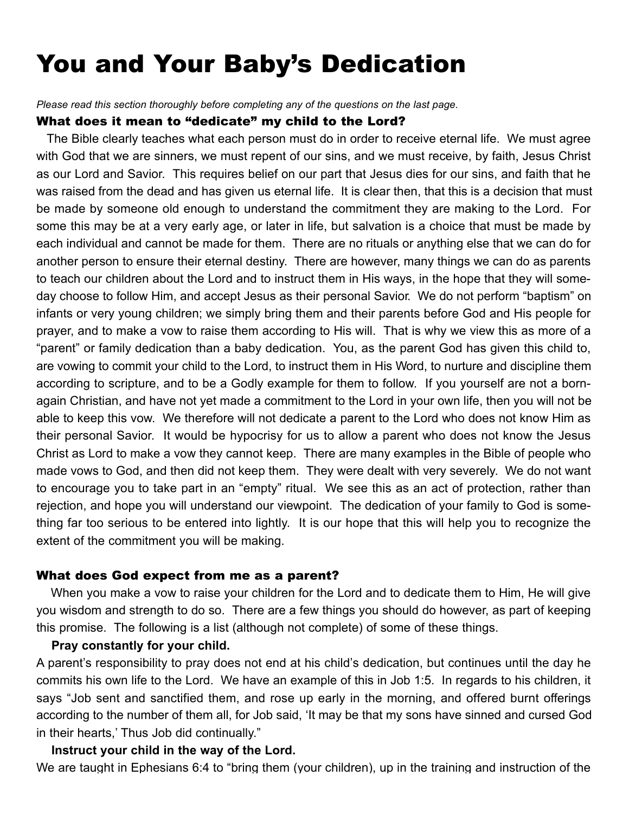# You and Your Baby's Dedication

*Please read this section thoroughly before completing any of the questions on the last page.*

#### What does it mean to "dedicate" my child to the Lord?

The Bible clearly teaches what each person must do in order to receive eternal life. We must agree with God that we are sinners, we must repent of our sins, and we must receive, by faith, Jesus Christ as our Lord and Savior. This requires belief on our part that Jesus dies for our sins, and faith that he was raised from the dead and has given us eternal life. It is clear then, that this is a decision that must be made by someone old enough to understand the commitment they are making to the Lord. For some this may be at a very early age, or later in life, but salvation is a choice that must be made by each individual and cannot be made for them. There are no rituals or anything else that we can do for another person to ensure their eternal destiny. There are however, many things we can do as parents to teach our children about the Lord and to instruct them in His ways, in the hope that they will someday choose to follow Him, and accept Jesus as their personal Savior. We do not perform "baptism" on infants or very young children; we simply bring them and their parents before God and His people for prayer, and to make a vow to raise them according to His will. That is why we view this as more of a "parent" or family dedication than a baby dedication. You, as the parent God has given this child to, are vowing to commit your child to the Lord, to instruct them in His Word, to nurture and discipline them according to scripture, and to be a Godly example for them to follow. If you yourself are not a bornagain Christian, and have not yet made a commitment to the Lord in your own life, then you will not be able to keep this vow. We therefore will not dedicate a parent to the Lord who does not know Him as their personal Savior. It would be hypocrisy for us to allow a parent who does not know the Jesus Christ as Lord to make a vow they cannot keep. There are many examples in the Bible of people who made vows to God, and then did not keep them. They were dealt with very severely. We do not want to encourage you to take part in an "empty" ritual. We see this as an act of protection, rather than rejection, and hope you will understand our viewpoint. The dedication of your family to God is something far too serious to be entered into lightly. It is our hope that this will help you to recognize the extent of the commitment you will be making.

#### What does God expect from me as a parent?

When you make a vow to raise your children for the Lord and to dedicate them to Him, He will give you wisdom and strength to do so. There are a few things you should do however, as part of keeping this promise. The following is a list (although not complete) of some of these things.

### **Pray constantly for your child.**

A parent's responsibility to pray does not end at his child's dedication, but continues until the day he commits his own life to the Lord. We have an example of this in Job 1:5. In regards to his children, it says "Job sent and sanctified them, and rose up early in the morning, and offered burnt offerings according to the number of them all, for Job said, 'It may be that my sons have sinned and cursed God in their hearts,' Thus Job did continually."

#### **Instruct your child in the way of the Lord.**

We are taught in Ephesians 6:4 to "bring them (your children), up in the training and instruction of the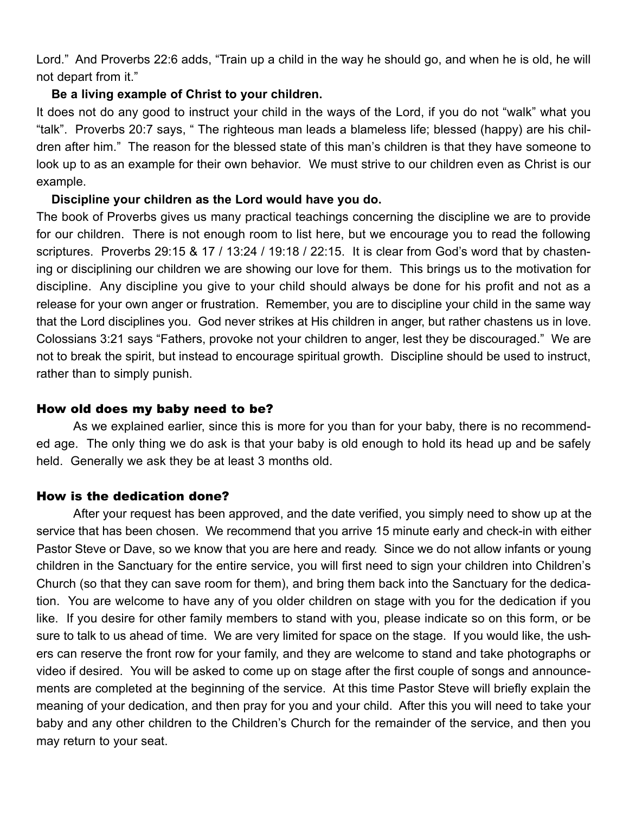Lord." And Proverbs 22:6 adds, "Train up a child in the way he should go, and when he is old, he will not depart from it."

## **Be a living example of Christ to your children.**

It does not do any good to instruct your child in the ways of the Lord, if you do not "walk" what you "talk". Proverbs 20:7 says, " The righteous man leads a blameless life; blessed (happy) are his children after him." The reason for the blessed state of this man's children is that they have someone to look up to as an example for their own behavior. We must strive to our children even as Christ is our example.

## **Discipline your children as the Lord would have you do.**

The book of Proverbs gives us many practical teachings concerning the discipline we are to provide for our children. There is not enough room to list here, but we encourage you to read the following scriptures. Proverbs 29:15 & 17 / 13:24 / 19:18 / 22:15. It is clear from God's word that by chastening or disciplining our children we are showing our love for them. This brings us to the motivation for discipline. Any discipline you give to your child should always be done for his profit and not as a release for your own anger or frustration. Remember, you are to discipline your child in the same way that the Lord disciplines you. God never strikes at His children in anger, but rather chastens us in love. Colossians 3:21 says "Fathers, provoke not your children to anger, lest they be discouraged." We are not to break the spirit, but instead to encourage spiritual growth. Discipline should be used to instruct, rather than to simply punish.

### How old does my baby need to be?

As we explained earlier, since this is more for you than for your baby, there is no recommended age. The only thing we do ask is that your baby is old enough to hold its head up and be safely held. Generally we ask they be at least 3 months old.

## How is the dedication done?

After your request has been approved, and the date verified, you simply need to show up at the service that has been chosen. We recommend that you arrive 15 minute early and check-in with either Pastor Steve or Dave, so we know that you are here and ready. Since we do not allow infants or young children in the Sanctuary for the entire service, you will first need to sign your children into Children's Church (so that they can save room for them), and bring them back into the Sanctuary for the dedication. You are welcome to have any of you older children on stage with you for the dedication if you like. If you desire for other family members to stand with you, please indicate so on this form, or be sure to talk to us ahead of time. We are very limited for space on the stage. If you would like, the ushers can reserve the front row for your family, and they are welcome to stand and take photographs or video if desired. You will be asked to come up on stage after the first couple of songs and announcements are completed at the beginning of the service. At this time Pastor Steve will briefly explain the meaning of your dedication, and then pray for you and your child. After this you will need to take your baby and any other children to the Children's Church for the remainder of the service, and then you may return to your seat.